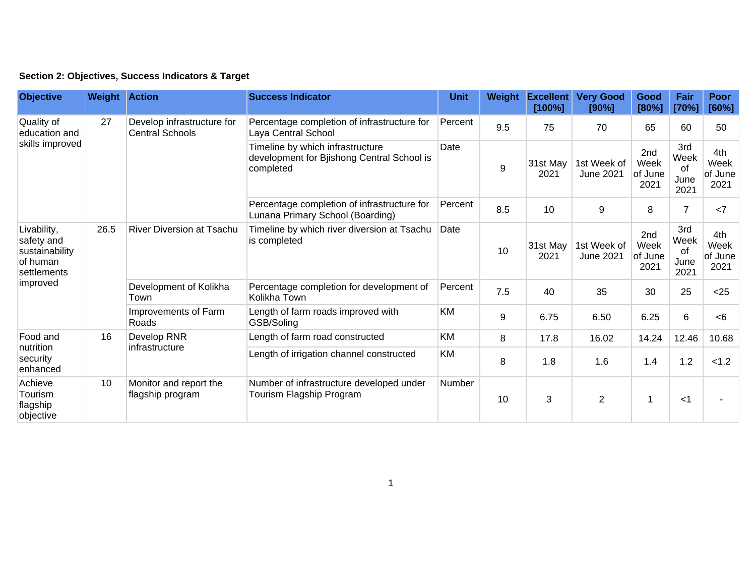|  | Section 2: Objectives, Success Indicators & Target |  |  |
|--|----------------------------------------------------|--|--|
|--|----------------------------------------------------|--|--|

| <b>Objective</b>                                                                   | <b>Weight Action</b> |                                                      | <b>Success Indicator</b>                                                                    | <b>Unit</b>                                      | Weight | <b>Excellent</b><br>[100%] | <b>Very Good</b><br>[90%]       | Good<br>[80%]                  | Fair<br>[70%]                     | Poor<br>[60%]                  |
|------------------------------------------------------------------------------------|----------------------|------------------------------------------------------|---------------------------------------------------------------------------------------------|--------------------------------------------------|--------|----------------------------|---------------------------------|--------------------------------|-----------------------------------|--------------------------------|
| Quality of<br>education and<br>skills improved                                     | 27                   | Develop infrastructure for<br><b>Central Schools</b> | Percentage completion of infrastructure for<br>Laya Central School                          | Percent                                          | 9.5    | 75                         | 70                              | 65                             | 60                                | 50                             |
|                                                                                    |                      |                                                      | Timeline by which infrastructure<br>development for Bjishong Central School is<br>completed | Date                                             | 9      | 31st May<br>2021           | 1st Week of<br><b>June 2021</b> | 2nd<br>Week<br>of June<br>2021 | 3rd<br>Week<br>of<br>June<br>2021 | 4th<br>Week<br>of June<br>2021 |
|                                                                                    |                      |                                                      | Percentage completion of infrastructure for<br>Lunana Primary School (Boarding)             | Percent                                          | 8.5    | 10                         | 9                               | 8                              | $\overline{7}$                    | <7                             |
| Livability,<br>safety and<br>sustainability<br>of human<br>settlements<br>improved | 26.5                 | <b>River Diversion at Tsachu</b>                     | Timeline by which river diversion at Tsachu<br>is completed                                 | Date                                             | 10     | 31st May<br>2021           | 1st Week of<br><b>June 2021</b> | 2nd<br>Week<br>of June<br>2021 | 3rd<br>Week<br>of<br>June<br>2021 | 4th<br>Week<br>of June<br>2021 |
|                                                                                    |                      | Development of Kolikha<br>Town                       | Percentage completion for development of<br>Kolikha Town                                    | Percent                                          | 7.5    | 40                         | 35                              | 30                             | 25                                | < 25                           |
|                                                                                    |                      |                                                      | Improvements of Farm<br>Roads                                                               | Length of farm roads improved with<br>GSB/Soling | KM     | 9                          | 6.75                            | 6.50                           | 6.25                              | 6                              |
| Food and<br>nutrition<br>security<br>enhanced                                      | 16                   | Develop RNR<br>infrastructure                        | Length of farm road constructed                                                             | <b>KM</b>                                        | 8      | 17.8                       | 16.02                           | 14.24                          | 12.46                             | 10.68                          |
|                                                                                    |                      |                                                      | Length of irrigation channel constructed                                                    | KM                                               | 8      | 1.8                        | 1.6                             | 1.4                            | 1.2                               | < 1.2                          |
| Achieve<br>Tourism<br>flagship<br>objective                                        | 10                   | Monitor and report the<br>flagship program           | Number of infrastructure developed under<br>Tourism Flagship Program                        | Number                                           | 10     | 3                          | $\overline{2}$                  | 1                              | $<$ 1                             |                                |